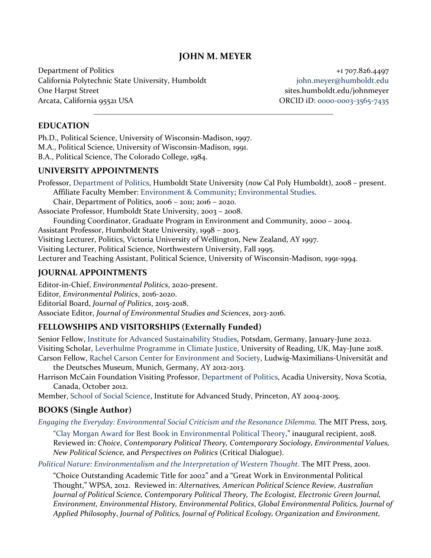# **JOHN M. MEYER**

\_\_\_\_\_\_\_\_\_\_\_\_\_\_\_\_\_\_\_\_\_\_\_\_\_\_\_\_\_\_\_\_\_\_\_\_\_\_\_\_\_\_\_\_\_\_\_\_\_\_\_\_\_\_\_\_\_\_\_\_\_\_

Department of Politics  $+1707.826.4497$ California Polytechnic State University, Humboldt in the state of polynomy in the space of polynomy is equal to  $\mathbf{C}$ One Harpst Street sites.humboldt.edu/johnmeyer Arcata, California 95521 USA ORCID iD: [0000-0003-3565-7435](https://orcid.org/0000-0003-3565-7435)

#### **EDUCATION**

Ph.D., Political Science, University of Wisconsin-Madison, 1997. M.A., Political Science, University of Wisconsin-Madison, 1991. B.A., Political Science, The Colorado College, 1984.

#### **UNIVERSITY APPOINTMENTS**

Professor, [Department of Politics,](http://www.humboldt.edu/politics/) Humboldt State University (*now* Cal Poly Humboldt), 2008 – present. Affiliate Faculty Member: [Environment &](http://www.humboldt.edu/envcomm/) Community; [Environmental Studies.](http://www.humboldt.edu/enst/) Chair, Department of Politics, 2006 – 2011; 2016 – 2020. Associate Professor, Humboldt State University, 2003 – 2008. Founding Coordinator, Graduate Program in Environment and Community, 2000 – 2004. Assistant Professor, Humboldt State University, 1998 – 2003. Visiting Lecturer, Politics, Victoria University of Wellington, New Zealand, AY 1997. Visiting Lecturer, Political Science, Northwestern University, Fall 1995. Lecturer and Teaching Assistant, Political Science, University of Wisconsin-Madison, 1991-1994.

#### **JOURNAL APPOINTMENTS**

Editor-in-Chief, *Environmental Politics*, 2020-present. Editor, *Environmental Politics*, 2016-2020. Editorial Board, *Journal of Politics*, 2015-2018. Associate Editor, *Journal of Environmental Studies and Sciences*, 2013-2016.

### **FELLOWSHIPS AND VISITORSHIPS (Externally Funded)**

Senior Fellow, [Institute for Advanced Sustainability Studies,](https://www.iass-potsdam.de/en) Potsdam, Germany, January-June 2022. Visiting Scholar, [Leverhulme Programme in Climate Justice,](https://www.reading.ac.uk/climate-justice/) University of Reading, UK, May-June 2018. Carson Fellow, [Rachel Carson Center for Environment and Society,](http://www.carsoncenter.uni-muenchen.de/index.html) Ludwig-Maximilians-Universität and

the Deutsches Museum, Munich, Germany, AY 2012-2013.

Harrison McCain Foundation Visiting Professor, [Department of Politics,](http://polisci.acadiau.ca/) Acadia University, Nova Scotia, Canada, October 2012.

Member, [School of Social Science,](http://www.sss.ias.edu/) Institute for Advanced Study, Princeton, AY 2004-2005.

### **BOOKS (Single Author)**

*[Engaging the Everyday: Environmental Social Criticism and the Resonance Dilemma.](http://mitpress.mit.edu/books/engaging-everyday)* The MIT Press, 2015.

["Clay Morgan Award for Best Book in Environmental Political Theory,](https://mitpress.mit.edu/blog/winner-first-annual-clay-morgan-award-best-book-environmental-political-theory)" inaugural recipient, 2018. Reviewed in: *Choice*, *Contemporary Political Theory, Contemporary Sociology, Environmental Values, New Political Science,* and *Perspectives on Politics* (Critical Dialogue).

*[Political Nature: Environmentalism and the Interpretation of Western Thought.](https://mitpress.mit.edu/books/political-nature)* The MIT Press, 2001.

"Choice Outstanding Academic Title for 2002" and a "Great Work in Environmental Political Thought," WPSA, 2012. Reviewed in: *Alternatives, American Political Science Review, Australian Journal of Political Science, Contemporary Political Theory, The Ecologist, Electronic Green Journal, Environment, Environmental History, Environmental Politics*, *Global Environmental Politics, Journal of Applied Philosophy*, *Journal of Politics, Journal of Political Ecology, Organization and Environment,*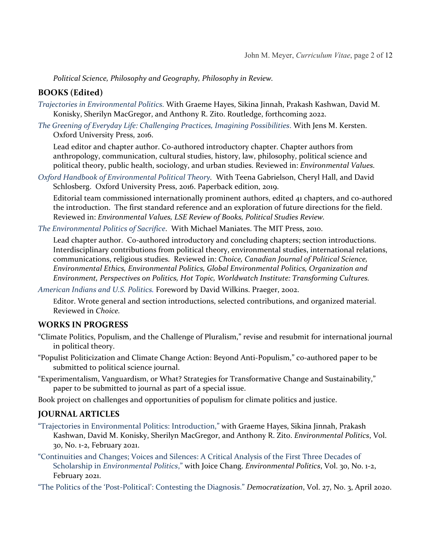*Political Science, Philosophy and Geography, Philosophy in Review.*

# **BOOKS (Edited)**

- *[Trajectories in Environmental Politics.](https://www.routledge.com/Trajectories-in-Environmental-Politics/Hayes-Jinnah-Kashwan-Konisky-Macgregor-Meyer-Zito/p/book/9781032100357)* With Graeme Hayes, Sikina Jinnah, Prakash Kashwan, David M. Konisky, Sherilyn MacGregor, and Anthony R. Zito. Routledge, forthcoming 2022.
- *[The Greening of Everyday Life: Challenging Practices, Imagining Possibilities](https://global.oup.com/academic/product/the-greening-of-everyday-life-9780198758662?cc=us&lang=en&)*. With Jens M. Kersten. Oxford University Press, 2016.

Lead editor and chapter author. Co-authored introductory chapter. Chapter authors from anthropology, communication, cultural studies, history, law, philosophy, political science and political theory, public health, sociology, and urban studies. Reviewed in: *Environmental Values.*

*[Oxford Handbook of Environmental Political Theory.](https://global.oup.com/academic/product/the-oxford-handbook-of-environmental-political-theory-9780199685271?q=oxford%20handbook%20of%20environmental%20political%20theory&lang=en&cc=us)* With Teena Gabrielson, Cheryl Hall, and David Schlosberg. Oxford University Press, 2016. Paperback edition, 2019.

Editorial team commissioned internationally prominent authors, edited 41 chapters, and co-authored the introduction. The first standard reference and an exploration of future directions for the field. Reviewed in: *Environmental Values, LSE Review of Books, Political Studies Review.*

*[The Environmental Politics of Sacrifice](https://mitpress.mit.edu/books/environmental-politics-sacrifice)*. With Michael Maniates. The MIT Press, 2010.

Lead chapter author. Co-authored introductory and concluding chapters; section introductions. Interdisciplinary contributions from political theory, environmental studies, international relations, communications, religious studies. Reviewed in: *Choice, Canadian Journal of Political Science, Environmental Ethics, Environmental Politics, Global Environmental Politics, Organization and Environment, Perspectives on Politics, Hot Topic, Worldwatch Institute: Transforming Cultures.*

*[American Indians and U.S. Politics.](http://www.abc-clio.com/product.aspx?isbn=9780275972783)* Foreword by David Wilkins. Praeger, 2002.

Editor. Wrote general and section introductions, selected contributions, and organized material. Reviewed in *Choice.*

#### **WORKS IN PROGRESS**

- "Climate Politics, Populism, and the Challenge of Pluralism," revise and resubmit for international journal in political theory.
- "Populist Politicization and Climate Change Action: Beyond Anti-Populism," co-authored paper to be submitted to political science journal.
- "Experimentalism, Vanguardism, or What? Strategies for Transformative Change and Sustainability," paper to be submitted to journal as part of a special issue.

Book project on challenges and opportunities of populism for climate politics and justice.

### **JOURNAL ARTICLES**

["Trajectories in Environmental Politics: Introduction,"](https://www.tandfonline.com/doi/full/10.1080/09644016.2021.1882721) with Graeme Hayes, Sikina Jinnah, Prakash Kashwan, David M. Konisky, Sherilyn MacGregor, and Anthony R. Zito. *Environmental Politics*, Vol. 30, No. 1-2, February 2021.

["Continuities and Changes; Voices and Silences: A Critical Analysis of the First Three Decades of](https://www.tandfonline.com/doi/full/10.1080/09644016.2020.1848157)  Scholarship in *[Environmental Politics](https://www.tandfonline.com/doi/full/10.1080/09644016.2020.1848157)*," with Joice Chang. *Environmental Politics*, Vol. 30, No. 1-2, February 2021.

["The Politics of the 'Post-Political': Contesting the Diagnosis."](https://www.tandfonline.com/doi/full/10.1080/13510347.2019.1676737) *Democratization*, Vol. 27, No. 3, April 2020.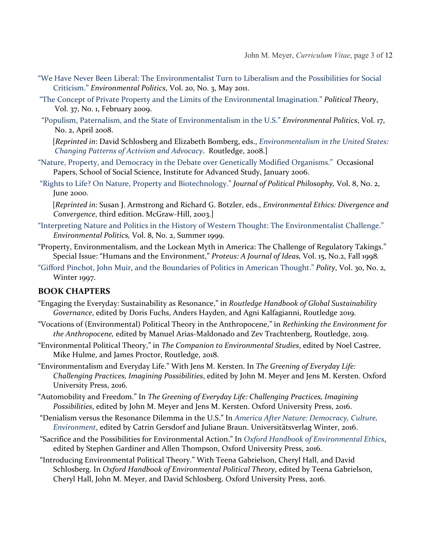- ["We Have Never Been Liberal: The Environmentalist Turn to Liberalism and the Possibilities for Social](http://www.tandfonline.com/doi/abs/10.1080/09644016.2011.573357)  [Criticism."](http://www.tandfonline.com/doi/abs/10.1080/09644016.2011.573357) *Environmental Politics*, Vol. 20, No. 3, May 2011.
- ["The Concept of Private Property and the Limits of the Environmental Imagination."](http://ptx.sagepub.com/content/37/1/99.abstract?rss=1) *Political Theory*, Vol. 37, No. 1, February 2009.
- ["Populism, Paternalism, and the State of Environmentalism in the U.S."](http://www.tandfonline.com/doi/abs/10.1080/09644010801936149) *Environmental Politics*, Vol. 17, No. 2, April 2008.

[*Reprinted in*: David Schlosberg and Elizabeth Bomberg, eds., *[Environmentalism in the United States:](https://www.routledge.com/Environmentalism-in-the-United-States-Changing-Patterns-of-Activism-and/Bomberg-Schlosberg/p/book/9780415483940)  [Changing Patterns of Activism](https://www.routledge.com/Environmentalism-in-the-United-States-Changing-Patterns-of-Activism-and/Bomberg-Schlosberg/p/book/9780415483940) and Advocacy*. Routledge, 2008.]

- ["Nature, Property, and Democracy in the Debate over Genetically Modified Organisms.](https://www.sss.ias.edu/files/papers/paper23.pdf)" Occasional Papers, School of Social Science, Institute for Advanced Study, January 2006.
- "Rights to Life? [On Nature, Property and Biotechnology."](http://onlinelibrary.wiley.com/doi/10.1111/1467-9760.00097/pdf) *Journal of Political Philosophy,* Vol. 8, No. 2, June 2000.

[*Reprinted in:* Susan J. Armstrong and Richard G. Botzler, eds., *Environmental Ethics: Divergence and Convergence*, third edition. McGraw-Hill, 2003.]

- ["Interpreting Nature and Politics in the History of Western Thought: The Environmentalist Challenge."](http://www.tandfonline.com/doi/abs/10.1080/09644019908414459)  *Environmental Politics,* Vol. 8, No. 2, Summer 1999.
- "Property, Environmentalism, and the Lockean Myth in America: The Challenge of Regulatory Takings." Special Issue: "Humans and the Environment," *Proteus: A Journal of Ideas,* Vol. 15, No.2, Fall 1998*.*
- ["Gifford Pinchot, John Muir, and the Boundaries of Politics in American Thought."](http://www.jstor.org/stable/3235219) *Polity*, Vol. 30, No. 2, Winter 1997.

### **BOOK CHAPTERS**

- "Engaging the Everyday: Sustainability as Resonance," in *Routledge Handbook of Global Sustainability Governance*, edited by Doris Fuchs, Anders Hayden, and Agni Kalfagianni, Routledge 2019.
- "Vocations of (Environmental) Political Theory in the Anthropocene," in *Rethinking the Environment for the Anthropocene,* edited by Manuel Arias-Maldonado and Zev Trachtenberg, Routledge, 2019.
- "Environmental Political Theory," in *The Companion to Environmental Studies*, edited by Noel Castree, Mike Hulme, and James Proctor, Routledge, 2018.
- "Environmentalism and Everyday Life." With Jens M. Kersten. In *The Greening of Everyday Life: Challenging Practices, Imagining Possibilities*, edited by John M. Meyer and Jens M. Kersten. Oxford University Press, 2016.
- "Automobility and Freedom." In *The Greening of Everyday Life: Challenging Practices, Imagining Possibilities*, edited by John M. Meyer and Jens M. Kersten. Oxford University Press, 2016.
- "Denialism versus the Resonance Dilemma in the U.S." In *[America After Nature:](https://www.winter-verlag.de/en/detail/978-3-8253-7597-3/Gersdorf_Braun_Eds_America_After_Nature_PDF/) Democracy, Culture, Environment*, edited by Catrin Gersdorf and Juliane Braun. Universitätsverlag Winter, 2016.
- "Sacrifice and the Possibilities for Environmental Action." In *[Oxford Handbook of Environmental Ethics](https://global.oup.com/academic/product/the-oxford-handbook-of-environmental-ethics-9780199941339?cc=us&lang=en&)*, edited by Stephen Gardiner and Allen Thompson, Oxford University Press, 2016.
- "Introducing Environmental Political Theory." With Teena Gabrielson, Cheryl Hall, and David Schlosberg. In *Oxford Handbook of Environmental Political Theory*, edited by Teena Gabrielson, Cheryl Hall, John M. Meyer, and David Schlosberg. Oxford University Press, 2016.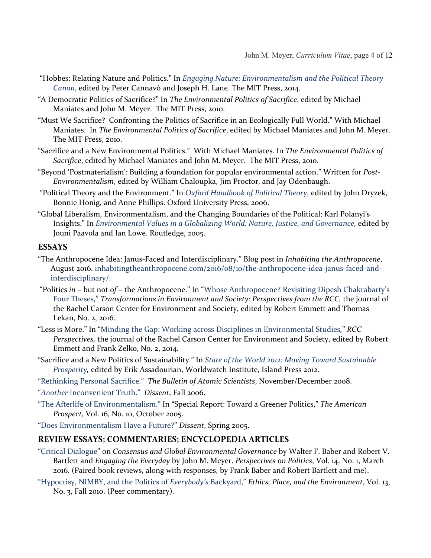- "Hobbes: Relating Nature and Politics." In *Engaging [Nature: Environmentalism and the Political Theory](http://mitpress.mit.edu/books/engaging-nature)  [Canon](http://mitpress.mit.edu/books/engaging-nature)*, edited by Peter Cannavò and Joseph H. Lane. The MIT Press, 2014.
- "A Democratic Politics of Sacrifice?" In *The Environmental Politics of Sacrifice*, edited by Michael Maniates and John M. Meyer. The MIT Press, 2010.
- "Must We Sacrifice? Confronting the Politics of Sacrifice in an Ecologically Full World." With Michael Maniates. In *The Environmental Politics of Sacrifice*, edited by Michael Maniates and John M. Meyer. The MIT Press, 2010.
- "Sacrifice and a New Environmental Politics." With Michael Maniates. In *The Environmental Politics of Sacrifice*, edited by Michael Maniates and John M. Meyer. The MIT Press, 2010.
- "Beyond 'Postmaterialism': Building a foundation for popular environmental action." Written for *Post-Environmentalism*, edited by William Chaloupka, Jim Proctor, and Jay Odenbaugh.
- "Political Theory and the Environment." In *[Oxford Handbook of Political Theory](https://global.oup.com/academic/product/the-oxford-handbook-of-political-theory-9780199548439?q=Oxford%20Handbook%20of%20political%20theory&lang=en&cc=us)*, edited by John Dryzek, Bonnie Honig, and Anne Phillips. Oxford University Press, 2006.
- "Global Liberalism, Environmentalism, and the Changing Boundaries of the Political: Karl Polanyi's Insights." In *[Environmental Values in a Globalizing World: Nature, Justice, and Governance,](http://www.routledge.com/books/details/9780415343626/)* edited by Jouni Paavola and Ian Lowe. Routledge, 2005.

#### **ESSAYS**

- "The Anthropocene Idea: Janus-Faced and Interdisciplinary." Blog post in *Inhabiting the Anthropocene*, August 2016. [inhabitingtheanthropocene.com/2016/08/10/the-anthropocene-idea-janus-faced-and](https://inhabitingtheanthropocene.com/2016/08/10/the-anthropocene-idea-janus-faced-and-interdisciplinary/)[interdisciplinary/.](https://inhabitingtheanthropocene.com/2016/08/10/the-anthropocene-idea-janus-faced-and-interdisciplinary/)
- "Politics *in* but not *of* the Anthropocene." In ["Whose Anthropocene? Revisiting Dipesh Chakrabarty's](http://www.environmentandsociety.org/perspectives/2016/2/whose-anthropocene-revisiting-dipesh-chakrabartys-four-theses)  [Four Theses,](http://www.environmentandsociety.org/perspectives/2016/2/whose-anthropocene-revisiting-dipesh-chakrabartys-four-theses)" *Transformations in Environment and Society: Perspectives from the RCC,* the journal of the Rachel Carson Center for Environment and Society, edited by Robert Emmett and Thomas Lekan, No. 2, 2016.
- "Less is More." In "Minding the Gap: Working across [Disciplines in Environmental Studies](http://www.environmentandsociety.org/perspectives/2014/2/minding-gap-working-across-disciplines-environmental-studies)*,*" *RCC Perspectives,* the journal of the Rachel Carson Center for Environment and Society, edited by Robert Emmett and Frank Zelko, No. 2, 2014*.*
- "Sacrifice and a New Politics of Sustainability." In *[State of the World 2012: Moving Toward](http://www.worldwatch.org/stateoftheworld2012) Sustainable [Prosperity,](http://www.worldwatch.org/stateoftheworld2012)* edited by Erik Assadourian, Worldwatch Institute, Island Press 2012.
- ["Rethinking Personal Sacrifice."](http://bos.sagepub.com/content/64/5/12.abstract) *The Bulletin of Atomic Scientists*, November/December 2008.
- "*Another* [Inconvenient Truth."](https://www.dissentmagazine.org/article/another-inconvenient-truth) *Dissent*, Fall 2006.
- ["The Afterlife of Environmentalism."](http://www.prospect.org/cs/articles?article=the_afterlife_of_environmentalism) In "Special Report: Toward a Greener Politics," *The American Prospect*, Vol. 16, No. 10, October 2005.
- ["Does Environmentalism Have a Future?"](https://www.dissentmagazine.org/article/does-environmentalism-have-a-future) *Dissent*, Spring 2005.

#### **REVIEW ESSAYS; COMMENTARIES; ENCYCLOPEDIA ARTICLES**

- ["Critical Dialogue"](http://dx.doi.org/10.1017/S1537592715003394) on *Consensus and Global Environmental Governance* by Walter F. Baber and Robert V. Bartlett and *Engaging the Everyday* by John M. Meyer. *Perspectives on Politics*, Vol. 14, No. 1, March 2016. (Paired book reviews, along with responses, by Frank Baber and Robert Bartlett and me).
- ["Hypocrisy, NIMBY, and the Politics of](http://www.informaworld.com/smpp/ftinterface%7Edb=all%7Econtent=a931197025%7Efulltext=713240930) *Everybody's* Backyard," *Ethics, Place, and the Environment*, Vol. 13, No. 3, Fall 2010. (Peer commentary).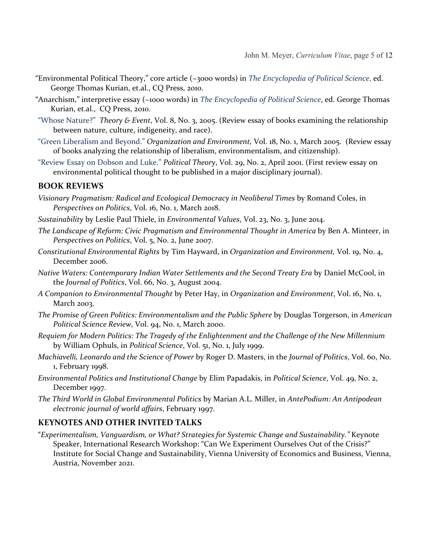- "Environmental Political Theory," core article (~3000 words) in *The [Encyclopedia of Political Science](http://sk.sagepub.com/reference/the-encyclopedia-of-political-science)*, ed. George Thomas Kurian, et.al., CQ Press, 2010.
- "Anarchism," interpretive essay (~1000 words) in *The [Encyclopedia of Political Science](http://sk.sagepub.com/reference/the-encyclopedia-of-political-science)*, ed. George Thomas Kurian, et.al., CQ Press, 2010.
- ["Whose Nature?"](http://muse.jhu.edu/journals/tae/v008/8.3meyer.html) *Theory & Event*, Vol. 8, No. 3, 2005. (Review essay of books examining the relationship between nature, culture, indigeneity, and race).
- ["Green Liberalism and Beyond."](http://oae.sagepub.com/cgi/reprint/18/1/116) *Organization and Environment,* Vol. 18, No. 1, March 2005. (Review essay of books analyzing the relationship of liberalism, environmentalism, and citizenship).
- ["Review Essay on Dobson and Luke."](http://ptx.sagepub.com/cgi/reprint/29/2/276) *Political Theory*, Vol. 29, No. 2, April 2001. (First review essay on environmental political thought to be published in a major disciplinary journal).

### **BOOK REVIEWS**

- *Visionary Pragmatism: Radical and Ecological Democracy in Neoliberal Times* by Romand Coles, in *Perspectives on Politics*, Vol. 16, No. 1, March 2018.
- *Sustainability* by Leslie Paul Thiele, in *Environmental Values*, Vol. 23, No. 3, June 2014.
- *The Landscape of Reform: Civic Pragmatism and Environmental Thought in America* by Ben A. Minteer, in *Perspectives on Politics*, Vol. 5, No. 2, June 2007.
- *Constitutional Environmental Rights* by Tim Hayward, in *Organization and Environment,* Vol. 19, No. 4, December 2006.
- *Native Waters: Contemporary Indian Water Settlements and the Second Treaty Era* by Daniel McCool, in the *Journal of Politics*, Vol. 66, No. 3, August 2004.
- *A Companion to Environmental Thought* by Peter Hay, in *Organization and Environment*, Vol. 16, No. 1, March 2003.
- *The Promise of Green Politics: Environmentalism and the Public Sphere* by Douglas Torgerson, in *American Political Science Review*, Vol. 94, No. 1, March 2000.
- *Requiem for Modern Politics: The Tragedy of the Enlightenment and the Challenge of the New Millennium* by William Ophuls, in *Political Science*, Vol. 51, No. 1, July 1999.
- *Machiavelli, Leonardo and the Science of Power* by Roger D. Masters, in the *Journal of Politics*, Vol. 60, No. 1, February 1998.
- *Environmental Politics and Institutional Change* by Elim Papadakis, in *Political Science*, Vol. 49, No. 2, December 1997.
- *The Third World in Global Environmental Politics* by Marian A.L. Miller, in *AntePodium: An Antipodean electronic journal of world affairs*, February 1997.

### **KEYNOTES AND OTHER INVITED TALKS**

"*Experimentalism, Vanguardism, or What? Strategies for Systemic Change and Sustainability."* Keynote Speaker, International Research Workshop: "Can We Experiment Ourselves Out of the Crisis?" Institute for Social Change and Sustainability, Vienna University of Economics and Business, Vienna, Austria, November 2021.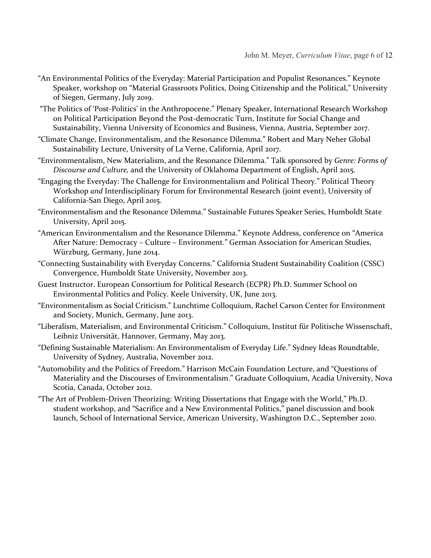- "An Environmental Politics of the Everyday: Material Participation and Populist Resonances." Keynote Speaker, workshop on "Material Grassroots Politics, Doing Citizenship and the Political," University of Siegen, Germany, July 2019.
- "The Politics of 'Post-Politics' in the Anthropocene." Plenary Speaker, International Research Workshop on Political Participation Beyond the Post-democratic Turn, Institute for Social Change and Sustainability, Vienna University of Economics and Business, Vienna, Austria, September 2017.
- "Climate Change, Environmentalism, and the Resonance Dilemma." Robert and Mary Neher Global Sustainability Lecture, University of La Verne, California, April 2017.
- "Environmentalism, New Materialism, and the Resonance Dilemma." Talk sponsored by *Genre: Forms of Discourse and Culture,* and the University of Oklahoma Department of English, April 2015.
- "Engaging the Everyday: The Challenge for Environmentalism and Political Theory." Political Theory Workshop *and* Interdisciplinary Forum for Environmental Research (joint event), University of California-San Diego, April 2015.
- "Environmentalism and the Resonance Dilemma." Sustainable Futures Speaker Series, Humboldt State University, April 2015.
- "American Environmentalism and the Resonance Dilemma." Keynote Address, conference on "America After Nature: Democracy – Culture – Environment." German Association for American Studies, Würzburg, Germany, June 2014.
- "Connecting Sustainability with Everyday Concerns." California Student Sustainability Coalition (CSSC) Convergence, Humboldt State University, November 2013.
- Guest Instructor. European Consortium for Political Research (ECPR) Ph.D. Summer School on Environmental Politics and Policy. Keele University, UK, June 2013.
- "Environmentalism as Social Criticism." Lunchtime Colloquium, Rachel Carson Center for Environment and Society, Munich, Germany, June 2013.
- "Liberalism, Materialism, and Environmental Criticism." Colloquium, Institut für Politische Wissenschaft, Leibniz Universität, Hannover, Germany, May 2013.
- "Defining Sustainable Materialism: An Environmentalism of Everyday Life." Sydney Ideas Roundtable, University of Sydney, Australia, November 2012.
- "Automobility and the Politics of Freedom." Harrison McCain Foundation Lecture, and "Questions of Materiality and the Discourses of Environmentalism." Graduate Colloquium, Acadia University, Nova Scotia, Canada, October 2012.
- "The Art of Problem-Driven Theorizing: Writing Dissertations that Engage with the World," Ph.D. student workshop, and "Sacrifice and a New Environmental Politics," panel discussion and book launch, School of International Service, American University, Washington D.C., September 2010.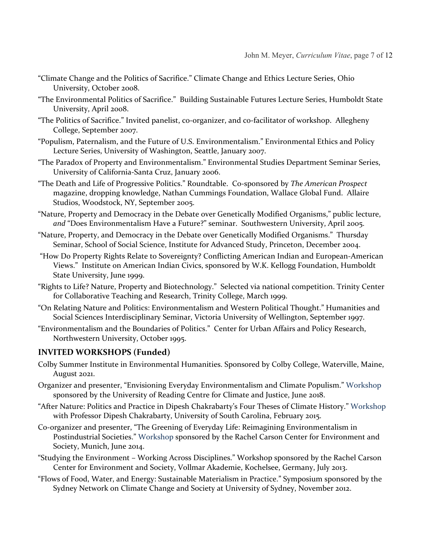- "Climate Change and the Politics of Sacrifice." Climate Change and Ethics Lecture Series, Ohio University, October 2008.
- "The Environmental Politics of Sacrifice." Building Sustainable Futures Lecture Series, Humboldt State University, April 2008.
- "The Politics of Sacrifice." Invited panelist, co-organizer, and co-facilitator of workshop. Allegheny College, September 2007.
- "Populism, Paternalism, and the Future of U.S. Environmentalism." Environmental Ethics and Policy Lecture Series, University of Washington, Seattle, January 2007.
- "The Paradox of Property and Environmentalism." Environmental Studies Department Seminar Series, University of California-Santa Cruz, January 2006.
- "The Death and Life of Progressive Politics." Roundtable. Co-sponsored by *The American Prospect*  magazine, dropping knowledge, Nathan Cummings Foundation, Wallace Global Fund. Allaire Studios, Woodstock, NY, September 2005.
- "Nature, Property and Democracy in the Debate over Genetically Modified Organisms," public lecture, *and* "Does Environmentalism Have a Future?" seminar. Southwestern University, April 2005.
- "Nature, Property, and Democracy in the Debate over Genetically Modified Organisms." Thursday Seminar, School of Social Science, Institute for Advanced Study, Princeton, December 2004.
- "How Do Property Rights Relate to Sovereignty? Conflicting American Indian and European-American Views." Institute on American Indian Civics, sponsored by W.K. Kellogg Foundation, Humboldt State University, June 1999.
- "Rights to Life? Nature, Property and Biotechnology." Selected via national competition. Trinity Center for Collaborative Teaching and Research, Trinity College, March 1999.
- "On Relating Nature and Politics: Environmentalism and Western Political Thought." Humanities and Social Sciences Interdisciplinary Seminar, Victoria University of Wellington, September 1997.
- "Environmentalism and the Boundaries of Politics." Center for Urban Affairs and Policy Research, Northwestern University, October 1995.

### **INVITED WORKSHOPS (Funded)**

- Colby Summer Institute in Environmental Humanities. Sponsored by Colby College, Waterville, Maine, August 2021.
- Organizer and presenter, "Envisioning Everyday Environmentalism and Climate Populism." [Workshop](https://research.reading.ac.uk/centre-for-climate-and-justice/upcoming-events/) sponsored by the University of Reading Centre for Climate and Justice, June 2018.
- "After Nature: Politics and Practice in Dipesh Chakrabarty's Four Theses of Climate History." [Workshop](http://artsandsciences.sc.edu/hist/hc/after-nature-workshop) with Professor Dipesh Chakrabarty, University of South Carolina, February 2015.
- Co-organizer and presenter, "The Greening of Everyday Life: Reimagining Environmentalism in Postindustrial Societies." [Workshop](http://www.carsoncenter.uni-muenchen.de/events_conf_seminars/event_history/2014-events/2014_conf_ws_sem/greening_conference_june/index.html) sponsored by the Rachel Carson Center for Environment and Society, Munich, June 2014.
- "Studying the Environment Working Across Disciplines." Workshop sponsored by the Rachel Carson Center for Environment and Society, Vollmar Akademie, Kochelsee, Germany, July 2013.
- "Flows of Food, Water, and Energy: Sustainable Materialism in Practice." Symposium sponsored by the Sydney Network on Climate Change and Society at University of Sydney, November 2012.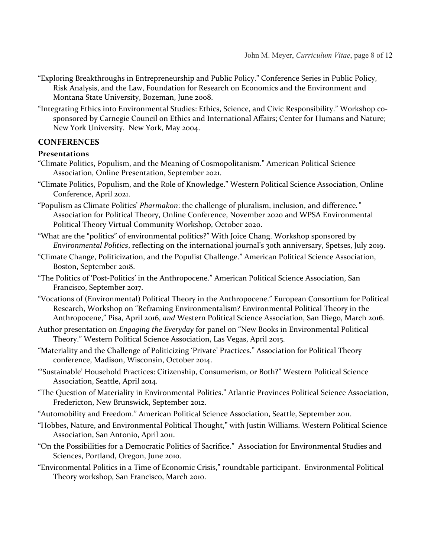- "Exploring Breakthroughs in Entrepreneurship and Public Policy." Conference Series in Public Policy, Risk Analysis, and the Law, Foundation for Research on Economics and the Environment and Montana State University, Bozeman, June 2008.
- "Integrating Ethics into Environmental Studies: Ethics, Science, and Civic Responsibility." Workshop cosponsored by Carnegie Council on Ethics and International Affairs; Center for Humans and Nature; New York University. New York, May 2004.

### **CONFERENCES**

#### **Presentations**

- "Climate Politics, Populism, and the Meaning of Cosmopolitanism." American Political Science Association, Online Presentation, September 2021.
- "Climate Politics, Populism, and the Role of Knowledge." Western Political Science Association, Online Conference, April 2021.
- "Populism as Climate Politics' *Pharmakon*: the challenge of pluralism, inclusion, and difference*."* Association for Political Theory, Online Conference, November 2020 and WPSA Environmental Political Theory Virtual Community Workshop, October 2020.
- "What are the "politics" of environmental politics?" With Joice Chang. Workshop sponsored by *Environmental Politics*, reflecting on the international journal's 3oth anniversary, Spetses, July 2019.
- "Climate Change, Politicization, and the Populist Challenge." American Political Science Association, Boston, September 2018.
- "The Politics of 'Post-Politics' in the Anthropocene." American Political Science Association, San Francisco, September 2017.
- "Vocations of (Environmental) Political Theory in the Anthropocene." European Consortium for Political Research, Workshop on "Reframing Environmentalism? Environmental Political Theory in the Anthropocene," Pisa, April 2016, *and* Western Political Science Association, San Diego, March 2016.
- Author presentation on *Engaging the Everyday* for panel on "New Books in Environmental Political Theory." Western Political Science Association, Las Vegas, April 2015.
- "Materiality and the Challenge of Politicizing 'Private' Practices." Association for Political Theory conference, Madison, Wisconsin, October 2014.
- "'Sustainable' Household Practices: Citizenship, Consumerism, or Both?" Western Political Science Association, Seattle, April 2014.
- "The Question of Materiality in Environmental Politics." Atlantic Provinces Political Science Association, Fredericton, New Brunswick, September 2012.
- "Automobility and Freedom." American Political Science Association, Seattle, September 2011.
- "Hobbes, Nature, and Environmental Political Thought," with Justin Williams. Western Political Science Association, San Antonio, April 2011.
- "On the Possibilities for a Democratic Politics of Sacrifice." Association for Environmental Studies and Sciences, Portland, Oregon, June 2010.
- "Environmental Politics in a Time of Economic Crisis," roundtable participant. Environmental Political Theory workshop, San Francisco, March 2010.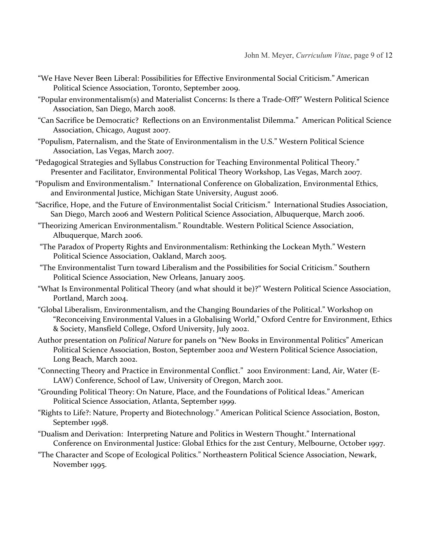- "We Have Never Been Liberal: Possibilities for Effective Environmental Social Criticism." American Political Science Association, Toronto, September 2009.
- "Popular environmentalism(s) and Materialist Concerns: Is there a Trade-Off?" Western Political Science Association, San Diego, March 2008.
- "Can Sacrifice be Democratic? Reflections on an Environmentalist Dilemma." American Political Science Association, Chicago, August 2007.
- "Populism, Paternalism, and the State of Environmentalism in the U.S." Western Political Science Association, Las Vegas, March 2007.
- "Pedagogical Strategies and Syllabus Construction for Teaching Environmental Political Theory." Presenter and Facilitator, Environmental Political Theory Workshop, Las Vegas, March 2007.
- "Populism and Environmentalism." International Conference on Globalization, Environmental Ethics, and Environmental Justice, Michigan State University, August 2006.
- "Sacrifice, Hope, and the Future of Environmentalist Social Criticism." International Studies Association, San Diego, March 2006 and Western Political Science Association, Albuquerque, March 2006.
- "Theorizing American Environmentalism." Roundtable. Western Political Science Association, Albuquerque, March 2006.
- "The Paradox of Property Rights and Environmentalism: Rethinking the Lockean Myth." Western Political Science Association, Oakland, March 2005.
- "The Environmentalist Turn toward Liberalism and the Possibilities for Social Criticism." Southern Political Science Association, New Orleans, January 2005.
- "What Is Environmental Political Theory (and what should it be)?" Western Political Science Association, Portland, March 2004.
- "Global Liberalism, Environmentalism, and the Changing Boundaries of the Political." Workshop on "Reconceiving Environmental Values in a Globalising World," Oxford Centre for Environment, Ethics & Society, Mansfield College, Oxford University, July 2002.
- Author presentation on *Political Nature* for panels on "New Books in Environmental Politics" American Political Science Association, Boston, September 2002 *and* Western Political Science Association, Long Beach, March 2002.
- "Connecting Theory and Practice in Environmental Conflict." 2001 Environment: Land, Air, Water (E-LAW) Conference, School of Law, University of Oregon, March 2001.
- "Grounding Political Theory: On Nature, Place, and the Foundations of Political Ideas." American Political Science Association, Atlanta, September 1999.
- "Rights to Life?: Nature, Property and Biotechnology." American Political Science Association, Boston, September 1998.
- "Dualism and Derivation: Interpreting Nature and Politics in Western Thought." International Conference on Environmental Justice: Global Ethics for the 21st Century, Melbourne, October 1997.

"The Character and Scope of Ecological Politics." Northeastern Political Science Association, Newark, November 1995.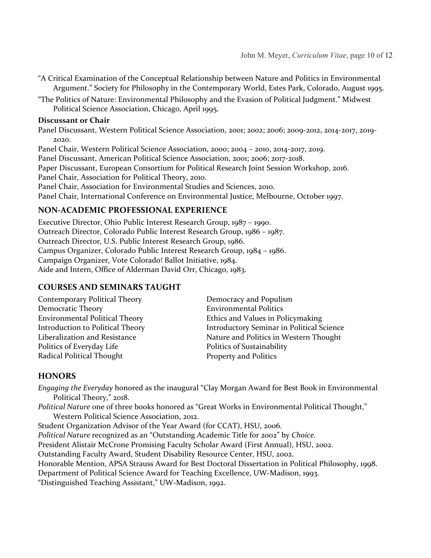- "A Critical Examination of the Conceptual Relationship between Nature and Politics in Environmental Argument." Society for Philosophy in the Contemporary World, Estes Park, Colorado, August 1995.
- "The Politics of Nature: Environmental Philosophy and the Evasion of Political Judgment." Midwest Political Science Association, Chicago, April 1995.

#### **Discussant or Chair**

Panel Discussant, Western Political Science Association, 2001; 2002; 2006; 2009-2012, 2014-2017, 2019- 2020.

Panel Chair, Western Political Science Association, 2000; 2004 – 2010, 2014-2017, 2019.

Panel Discussant, American Political Science Association, 2001; 2006; 2017-2018.

Paper Discussant, European Consortium for Political Research Joint Session Workshop, 2016.

Panel Chair, Association for Political Theory, 2010.

Panel Chair, Association for Environmental Studies and Sciences, 2010.

Panel Chair, International Conference on Environmental Justice, Melbourne, October 1997.

### **NON-ACADEMIC PROFESSIONAL EXPERIENCE**

Executive Director, Ohio Public Interest Research Group, 1987 – 1990. Outreach Director, Colorado Public Interest Research Group, 1986 – 1987. Outreach Director, U.S. Public Interest Research Group, 1986. Campus Organizer, Colorado Public Interest Research Group, 1984 – 1986. Campaign Organizer, Vote Colorado! Ballot Initiative, 1984. Aide and Intern, Office of Alderman David Orr, Chicago, 1983.

### **COURSES AND SEMINARS TAUGHT**

| Contemporary Political Theory         | Democracy and Populism                           |
|---------------------------------------|--------------------------------------------------|
| Democratic Theory                     | <b>Environmental Politics</b>                    |
| <b>Environmental Political Theory</b> | Ethics and Values in Policymaking                |
| Introduction to Political Theory      | <b>Introductory Seminar in Political Science</b> |
| Liberalization and Resistance         | Nature and Politics in Western Thought           |
| Politics of Everyday Life             | Politics of Sustainability                       |
| Radical Political Thought             | Property and Politics                            |
|                                       |                                                  |

### **HONORS**

*Engaging the Everyday* honored as the inaugural "Clay Morgan Award for Best Book in Environmental Political Theory," 2018.

*Political Nature* one of three books honored as "Great Works in Environmental Political Thought," Western Political Science Association, 2012.

Student Organization Advisor of the Year Award (for CCAT), HSU, 2006.

*Political Nature* recognized as an "Outstanding Academic Title for 2002" by *Choice.* 

President Alistair McCrone Promising Faculty Scholar Award (First Annual), HSU, 2002.

Outstanding Faculty Award, Student Disability Resource Center, HSU, 2002.

Honorable Mention, APSA Strauss Award for Best Doctoral Dissertation in Political Philosophy, 1998. Department of Political Science Award for Teaching Excellence, UW-Madison, 1993.

"Distinguished Teaching Assistant," UW-Madison, 1992.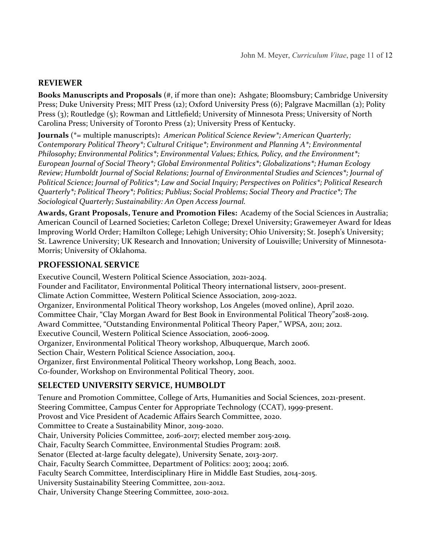### **REVIEWER**

**Books Manuscripts and Proposals** (#, if more than one)**:**Ashgate; Bloomsbury; Cambridge University Press; Duke University Press; MIT Press (12); Oxford University Press (6); Palgrave Macmillan (2); Polity Press (3); Routledge (5); Rowman and Littlefield; University of Minnesota Press; University of North Carolina Press; University of Toronto Press (2); University Press of Kentucky.

**Journals** (\*= multiple manuscripts)**:** *American Political Science Review\*; American Quarterly; Contemporary Political Theory\*; Cultural Critique\*; Environment and Planning A\*; Environmental Philosophy; Environmental Politics\*; Environmental Values; Ethics, Policy, and the Environment\*; European Journal of Social Theory\*; Global Environmental Politics\*; Globalizations\*; Human Ecology Review; Humboldt Journal of Social Relations; Journal of Environmental Studies and Sciences\*; Journal of Political Science; Journal of Politics\*; Law and Social Inquiry; Perspectives on Politics\*; Political Research Quarterly\*; Political Theory\*; Politics; Publius; Social Problems; Social Theory and Practice\*; The Sociological Quarterly; Sustainability: An Open Access Journal.*

**Awards, Grant Proposals, Tenure and Promotion Files:** Academy of the Social Sciences in Australia; American Council of Learned Societies; Carleton College; Drexel University; Grawemeyer Award for Ideas Improving World Order; Hamilton College; Lehigh University; Ohio University; St. Joseph's University; St. Lawrence University; UK Research and Innovation; University of Louisville; University of Minnesota-Morris; University of Oklahoma.

#### **PROFESSIONAL SERVICE**

Executive Council, Western Political Science Association, 2021-2024. Founder and Facilitator, Environmental Political Theory international listserv, 2001-present. Climate Action Committee, Western Political Science Association, 2019-2022. Organizer, Environmental Political Theory workshop, Los Angeles (moved online), April 2020. Committee Chair, "Clay Morgan Award for Best Book in Environmental Political Theory"2018-2019. Award Committee, "Outstanding Environmental Political Theory Paper," WPSA, 2011; 2012. Executive Council, Western Political Science Association, 2006-2009. Organizer, Environmental Political Theory workshop, Albuquerque, March 2006. Section Chair, Western Political Science Association, 2004. Organizer, first Environmental Political Theory workshop, Long Beach, 2002. Co-founder, Workshop on Environmental Political Theory, 2001.

# **SELECTED UNIVERSITY SERVICE, HUMBOLDT**

Tenure and Promotion Committee, College of Arts, Humanities and Social Sciences, 2021-present. Steering Committee, Campus Center for Appropriate Technology (CCAT), 1999-present. Provost and Vice President of Academic Affairs Search Committee, 2020. Committee to Create a Sustainability Minor, 2019-2020. Chair, University Policies Committee, 2016-2017; elected member 2015-2019. Chair, Faculty Search Committee, Environmental Studies Program: 2018. Senator (Elected at-large faculty delegate), University Senate, 2013-2017. Chair, Faculty Search Committee, Department of Politics: 2003; 2004; 2016. Faculty Search Committee, Interdisciplinary Hire in Middle East Studies, 2014-2015. University Sustainability Steering Committee, 2011-2012. Chair, University Change Steering Committee, 2010-2012.